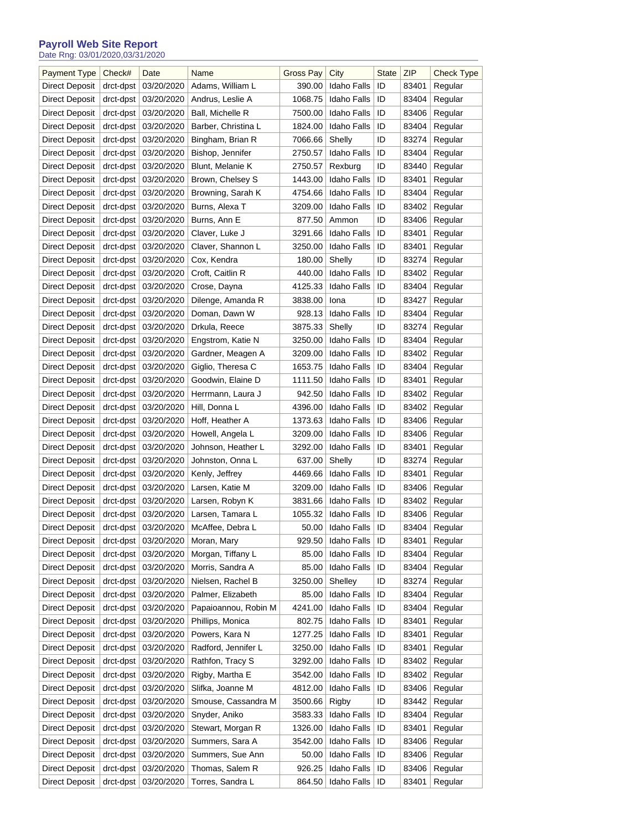## **Payroll Web Site Report**

Date Rng: 03/01/2020,03/31/2020

| <b>Payment Type</b>   | Check#    | Date       | Name                 | <b>Gross Pay</b> | City               | <b>State</b> | ZIP   | Check Type |
|-----------------------|-----------|------------|----------------------|------------------|--------------------|--------------|-------|------------|
| Direct Deposit        | drct-dpst | 03/20/2020 | Adams, William L     | 390.00           | Idaho Falls        | ID           | 83401 | Regular    |
| Direct Deposit        | drct-dpst | 03/20/2020 | Andrus, Leslie A     | 1068.75          | Idaho Falls        | ID           | 83404 | Regular    |
| Direct Deposit        | drct-dpst | 03/20/2020 | Ball, Michelle R     | 7500.00          | Idaho Falls        | ID           | 83406 | Regular    |
| Direct Deposit        | drct-dpst | 03/20/2020 | Barber, Christina L  | 1824.00          | Idaho Falls        | ID           | 83404 | Regular    |
| Direct Deposit        | drct-dpst | 03/20/2020 | Bingham, Brian R     | 7066.66          | Shelly             | ID           | 83274 | Regular    |
| Direct Deposit        | drct-dpst | 03/20/2020 | Bishop, Jennifer     | 2750.57          | Idaho Falls        | ID           | 83404 | Regular    |
| Direct Deposit        | drct-dpst | 03/20/2020 | Blunt, Melanie K     | 2750.57          | Rexburg            | ID           | 83440 | Regular    |
| Direct Deposit        | drct-dpst | 03/20/2020 | Brown, Chelsey S     | 1443.00          | Idaho Falls        | ID           | 83401 | Regular    |
| Direct Deposit        | drct-dpst | 03/20/2020 | Browning, Sarah K    | 4754.66          | Idaho Falls        | ID           | 83404 | Regular    |
| Direct Deposit        | drct-dpst | 03/20/2020 | Burns, Alexa T       | 3209.00          | Idaho Falls        | ID           | 83402 | Regular    |
| Direct Deposit        | drct-dpst | 03/20/2020 | Burns, Ann E         | 877.50           | Ammon              | ID           | 83406 | Regular    |
| Direct Deposit        | drct-dpst | 03/20/2020 | Claver, Luke J       | 3291.66          | Idaho Falls        | ID           | 83401 | Regular    |
| Direct Deposit        |           | 03/20/2020 | Claver, Shannon L    | 3250.00          | Idaho Falls        | ID           | 83401 |            |
|                       | drct-dpst |            |                      |                  | Shelly             | ID           |       | Regular    |
| Direct Deposit        | drct-dpst | 03/20/2020 | Cox, Kendra          | 180.00           | <b>Idaho Falls</b> |              | 83274 | Regular    |
| Direct Deposit        | drct-dpst | 03/20/2020 | Croft, Caitlin R     | 440.00           |                    | ID           | 83402 | Regular    |
| Direct Deposit        | drct-dpst | 03/20/2020 | Crose, Dayna         | 4125.33          | Idaho Falls        | ID           | 83404 | Regular    |
| Direct Deposit        | drct-dpst | 03/20/2020 | Dilenge, Amanda R    | 3838.00          | Iona               | ID           | 83427 | Regular    |
| Direct Deposit        | drct-dpst | 03/20/2020 | Doman, Dawn W        | 928.13           | <b>Idaho Falls</b> | ID           | 83404 | Regular    |
| Direct Deposit        | drct-dpst | 03/20/2020 | Drkula, Reece        | 3875.33          | Shelly             | ID           | 83274 | Regular    |
| Direct Deposit        | drct-dpst | 03/20/2020 | Engstrom, Katie N    | 3250.00          | Idaho Falls        | ID           | 83404 | Regular    |
| Direct Deposit        | drct-dpst | 03/20/2020 | Gardner, Meagen A    | 3209.00          | Idaho Falls        | ID           | 83402 | Regular    |
| Direct Deposit        | drct-dpst | 03/20/2020 | Giglio, Theresa C    | 1653.75          | Idaho Falls        | ID           | 83404 | Regular    |
| Direct Deposit        | drct-dpst | 03/20/2020 | Goodwin, Elaine D    | 1111.50          | Idaho Falls        | ID           | 83401 | Regular    |
| Direct Deposit        | drct-dpst | 03/20/2020 | Herrmann, Laura J    | 942.50           | Idaho Falls        | ID           | 83402 | Regular    |
| Direct Deposit        | drct-dpst | 03/20/2020 | Hill, Donna L        | 4396.00          | Idaho Falls        | ID           | 83402 | Regular    |
| Direct Deposit        | drct-dpst | 03/20/2020 | Hoff, Heather A      | 1373.63          | Idaho Falls        | ID           | 83406 | Regular    |
| Direct Deposit        | drct-dpst | 03/20/2020 | Howell, Angela L     | 3209.00          | Idaho Falls        | ID           | 83406 | Regular    |
| Direct Deposit        | drct-dpst | 03/20/2020 | Johnson, Heather L   | 3292.00          | Idaho Falls        | ID           | 83401 | Regular    |
| Direct Deposit        | drct-dpst | 03/20/2020 | Johnston, Onna L     | 637.00           | Shelly             | ID           | 83274 | Regular    |
| Direct Deposit        | drct-dpst | 03/20/2020 | Kenly, Jeffrey       | 4469.66          | Idaho Falls        | ID           | 83401 | Regular    |
| Direct Deposit        | drct-dpst | 03/20/2020 | Larsen, Katie M      | 3209.00          | Idaho Falls        | ID           | 83406 | Regular    |
| Direct Deposit        | drct-dpst | 03/20/2020 | Larsen, Robyn K      | 3831.66          | Idaho Falls        | ID           | 83402 | Regular    |
| Direct Deposit        | drct-dpst | 03/20/2020 | Larsen, Tamara L     | 1055.32          | Idaho Falls        | ID           | 83406 | Regular    |
| Direct Deposit        | drct-dpst | 03/20/2020 | McAffee, Debra L     | 50.00            | Idaho Falls        | ID           | 83404 | Regular    |
| <b>Direct Deposit</b> | drct-dpst | 03/20/2020 | Moran, Mary          | 929.50           | <b>Idaho Falls</b> | ID           | 83401 | Regular    |
| <b>Direct Deposit</b> | drct-dpst | 03/20/2020 | Morgan, Tiffany L    | 85.00            | Idaho Falls        | ID           | 83404 | Regular    |
| <b>Direct Deposit</b> | drct-dpst | 03/20/2020 | Morris, Sandra A     | 85.00            | Idaho Falls        | ID           | 83404 | Regular    |
| <b>Direct Deposit</b> | drct-dpst | 03/20/2020 | Nielsen, Rachel B    | 3250.00          | Shelley            | ID           | 83274 | Regular    |
| Direct Deposit        | drct-dpst | 03/20/2020 | Palmer, Elizabeth    | 85.00            | Idaho Falls        | ID           | 83404 | Regular    |
| <b>Direct Deposit</b> | drct-dpst | 03/20/2020 | Papaioannou, Robin M | 4241.00          | Idaho Falls        | ID           | 83404 | Regular    |
| <b>Direct Deposit</b> | drct-dpst | 03/20/2020 | Phillips, Monica     | 802.75           | Idaho Falls        | ID           | 83401 | Regular    |
| Direct Deposit        | drct-dpst | 03/20/2020 | Powers, Kara N       | 1277.25          | Idaho Falls        | ID           | 83401 | Regular    |
| <b>Direct Deposit</b> | drct-dpst | 03/20/2020 | Radford, Jennifer L  | 3250.00          | Idaho Falls        | ID           | 83401 | Regular    |
| Direct Deposit        | drct-dpst | 03/20/2020 | Rathfon, Tracy S     | 3292.00          | Idaho Falls        | ID           | 83402 | Regular    |
| Direct Deposit        | drct-dpst | 03/20/2020 | Rigby, Martha E      | 3542.00          | Idaho Falls        | ID           | 83402 | Regular    |
| Direct Deposit        | drct-dpst | 03/20/2020 | Slifka, Joanne M     | 4812.00          | Idaho Falls        | ID           | 83406 | Regular    |
| Direct Deposit        | drct-dpst | 03/20/2020 | Smouse, Cassandra M  | 3500.66          | Rigby              | ID           | 83442 | Regular    |
| <b>Direct Deposit</b> | drct-dpst | 03/20/2020 | Snyder, Aniko        | 3583.33          | Idaho Falls        | ID           | 83404 | Regular    |
| <b>Direct Deposit</b> | drct-dpst | 03/20/2020 | Stewart, Morgan R    | 1326.00          | Idaho Falls        | ID           | 83401 | Regular    |
| <b>Direct Deposit</b> | drct-dpst | 03/20/2020 | Summers, Sara A      | 3542.00          | Idaho Falls        | ID           | 83406 | Regular    |
| Direct Deposit        | drct-dpst | 03/20/2020 | Summers, Sue Ann     | 50.00            | Idaho Falls        | ID           | 83406 | Regular    |
| <b>Direct Deposit</b> | drct-dpst | 03/20/2020 | Thomas, Salem R      | 926.25           | <b>Idaho Falls</b> | ID           | 83406 | Regular    |
| <b>Direct Deposit</b> | drct-dpst | 03/20/2020 | Torres, Sandra L     | 864.50           | Idaho Falls        | ID           | 83401 | Regular    |